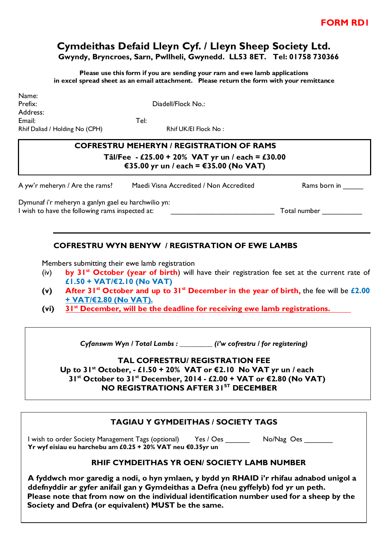# **Cymdeithas Defaid Lleyn Cyf. / Lleyn Sheep Society Ltd. Gwyndy, Bryncroes, Sarn, Pwllheli, Gwynedd. LL53 8ET. Tel: 01758 730366**

**Please use this form if you are sending your ram and ewe lamb applications in excel spread sheet as an email attachment. Please return the form with your remittance**

Name: Prefix: Diadell/Flock No.: Address: Email: Tel: Rhif Daliad / Holding No (CPH) Rhif UK/EI Flock No:

# **COFRESTRU MEHERYN / REGISTRATION OF RAMS Tâl/Fee - £25.00 + 20% VAT yr un / each = £30.00 €35.00 yr un / each = €35.00 (No VAT)**

| A yw'r meheryn / Are the rams?                      | Maedi Visna Accredited / Non Accredited | Rams born in |  |  |  |  |
|-----------------------------------------------------|-----------------------------------------|--------------|--|--|--|--|
| Dymunaf i'r meheryn a ganlyn gael eu harchwilio yn: |                                         |              |  |  |  |  |
| I wish to have the following rams inspected at:     |                                         | Total number |  |  |  |  |

## **COFRESTRU WYN BENYW / REGISTRATION OF EWE LAMBS**

Members submitting their ewe lamb registration

- (iv) **by 31 st October (year of birth**) will have their registration fee set at the current rate of **£1.50 + VAT/€2.10 (No VAT)**
- **(v) After 31 st October and up to 31 st December in the year of birth,** the fee will be **£2.00 + VAT/€2.80 (No VAT).**
- **(vi) 31 st December, will be the deadline for receiving ewe lamb registrations.**

*Cyfanswm Wyn / Total Lambs : \_\_\_\_\_\_\_\_\_ (i'w cofrestru / for registering)*

### **TAL COFRESTRU/ REGISTRATION FEE Up to 31 st October, - £1.50 + 20% VAT or €2.10 No VAT yr un / each 31 st October to 31 st December, 2014 - £2.00 + VAT or €2.80 (No VAT)**

## **NO REGISTRATIONS AFTER 31 ST DECEMBER**

## **TAGIAU Y GYMDEITHAS / SOCIETY TAGS**

I wish to order Society Management Tags (optional) Yes / Oes \_\_\_\_\_\_ No/Nag Oes \_\_\_\_\_\_\_ **Yr wyf eisiau eu harchebu am £0.25 + 20% VAT neu €0.35yr un**

### **RHIF CYMDEITHAS YR OEN/ SOCIETY LAMB NUMBER**

**A fyddwch mor garedig a nodi, o hyn ymlaen, y bydd yn RHAID i'r rhifau adnabod unigol a ddefnyddir ar gyfer anifail gan y Gymdeithas a Defra (neu gyffelyb) fod yr un peth. Please note that from now on the individual identification number used for a sheep by the Society and Defra (or equivalent) MUST be the same.**